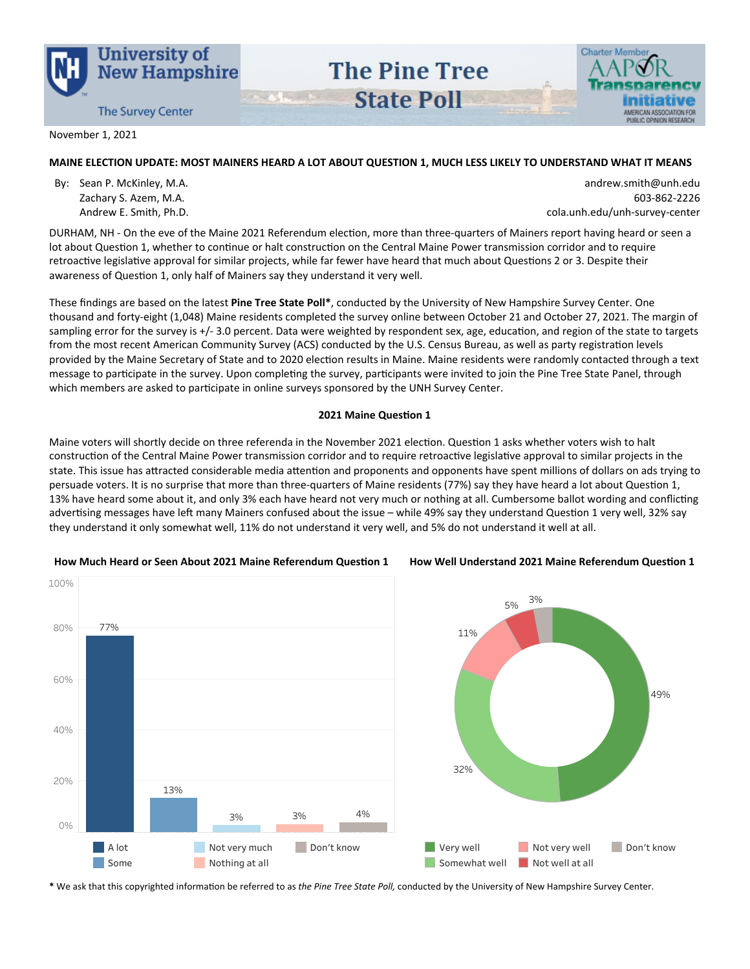



November 1, 2021

# MAINE ELECTION UPDATE: MOST MAINERS HEARD A LOT ABOUT QUESTION 1, MUCH LESS LIKELY TO UNDERSTAND WHAT IT MEANS

**The Pine Tree** 

**State Poll** 

By: Sean P. McKinley, M.A. Zachary S. Azem, M.A. Andrew E. Smith, Ph.D.

andrew.smith@unh.edu 603-862-2226 cola.unh.edu/unh-survey-center

DURHAM, NH - On the eve of the Maine 2021 Referendum election, more than three-quarters of Mainers report having heard or seen a lot about Question 1, whether to continue or halt construction on the Central Maine Power transmission corridor and to require retroactive legislative approval for similar projects, while far fewer have heard that much about Questions 2 or 3. Despite their awareness of Question 1, only half of Mainers say they understand it very well.

These findings are based on the latest Pine Tree State Poll\*, conducted by the University of New Hampshire Survey Center. One thousand and forty-eight (1,048) Maine residents completed the survey online between October 21 and October 27, 2021. The margin of sampling error for the survey is +/-3.0 percent. Data were weighted by respondent sex, age, education, and region of the state to targets from the most recent American Community Survey (ACS) conducted by the U.S. Census Bureau, as well as party registration levels provided by the Maine Secretary of State and to 2020 election results in Maine. Maine residents were randomly contacted through a text message to participate in the survey. Upon completing the survey, participants were invited to join the Pine Tree State Panel, through which members are asked to participate in online surveys sponsored by the UNH Survey Center.

#### 2021 Maine Question 1

Maine voters will shortly decide on three referenda in the November 2021 election. Question 1 asks whether voters wish to halt construction of the Central Maine Power transmission corridor and to require retroactive legislative approval to similar projects in the state. This issue has attracted considerable media attention and proponents and opponents have spent millions of dollars on ads trying to persuade voters. It is no surprise that more than three-quarters of Maine residents (77%) say they have heard a lot about Question 1, 13% have heard some about it, and only 3% each have heard not very much or nothing at all. Cumbersome ballot wording and conflicting advertising messages have left many Mainers confused about the issue – while 49% say they understand Question 1 very well, 32% say they understand it only somewhat well, 11% do not understand it very well, and 5% do not understand it well at all.



#### How Well Understand 2021 Maine Referendum Question 1



\* We ask that this copyrighted information be referred to as the Pine Tree State Poll, conducted by the University of New Hampshire Survey Center.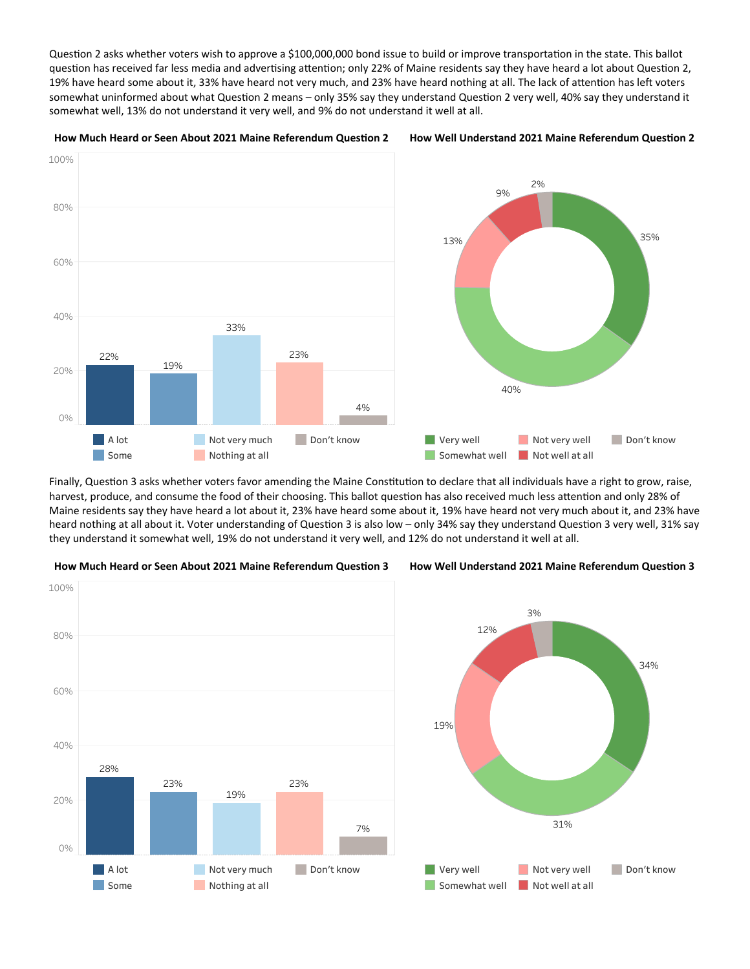Question 2 asks whether voters wish to approve a \$100,000,000 bond issue to build or improve transportation in the state. This ballot question has received far less media and advertising attention; only 22% of Maine residents say they have heard a lot about Question 2, 19% have heard some about it, 33% have heard not very much, and 23% have heard nothing at all. The lack of attention has left voters somewhat uninformed about what Question 2 means – only 35% say they understand Question 2 very well, 40% say they understand it somewhat well, 13% do not understand it very well, and 9% do not understand it well at all.



Finally, Question 3 asks whether voters favor amending the Maine Constitution to declare that all individuals have a right to grow, raise, harvest, produce, and consume the food of their choosing. This ballot question has also received much less attention and only 28% of Maine residents say they have heard a lot about it, 23% have heard some about it, 19% have heard not very much about it, and 23% have heard nothing at all about it. Voter understanding of Question 3 is also low – only 34% say they understand Question 3 very well, 31% say they understand it somewhat well, 19% do not understand it very well, and 12% do not understand it well at all.





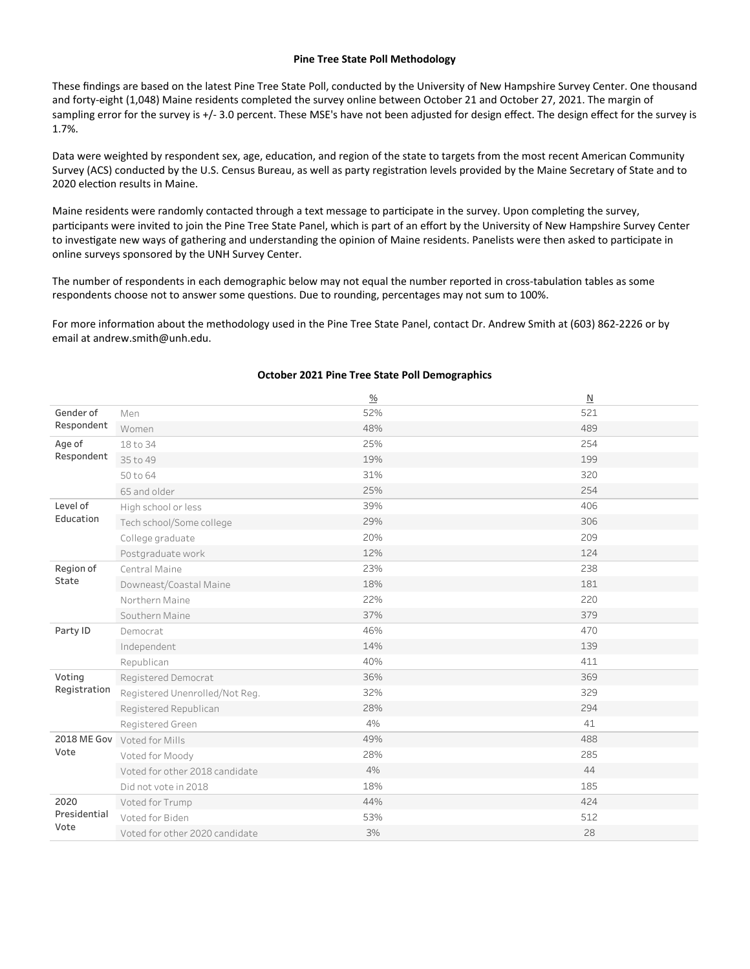#### Pine Tree State Poll Methodology

These findings are based on the latest Pine Tree State Poll, conducted by the University of New Hampshire Survey Center. One thousand and forty-eight (1,048) Maine residents completed the survey online between October 21 and October 27, 2021. The margin of sampling error for the survey is +/-3.0 percent. These MSE's have not been adjusted for design effect. The design effect for the survey is 1.7%.

Data were weighted by respondent sex, age, education, and region of the state to targets from the most recent American Community Survey (ACS) conducted by the U.S. Census Bureau, as well as party registration levels provided by the Maine Secretary of State and to 2020 election results in Maine.

Maine residents were randomly contacted through a text message to participate in the survey. Upon completing the survey, participants were invited to join the Pine Tree State Panel, which is part of an effort by the University of New Hampshire Survey Center to investigate new ways of gathering and understanding the opinion of Maine residents. Panelists were then asked to participate in online surveys sponsored by the UNH Survey Center.

The number of respondents in each demographic below may not equal the number reported in cross-tabulation tables as some respondents choose not to answer some questions. Due to rounding, percentages may not sum to 100%.

For more information about the methodology used in the Pine Tree State Panel, contact Dr. Andrew Smith at (603) 862-2226 or by email at andrew.smith@unh.edu.

|              |                                | $\frac{0}{0}$ | N   |
|--------------|--------------------------------|---------------|-----|
| Gender of    | Men                            | 52%           | 521 |
| Respondent   | Women                          | 48%           | 489 |
| Age of       | 18 to 34                       | 25%           | 254 |
| Respondent   | 35 to 49                       | 19%           | 199 |
|              | 50 to 64                       | 31%           | 320 |
|              | 65 and older                   | 25%           | 254 |
| Level of     | High school or less            | 39%           | 406 |
| Education    | Tech school/Some college       | 29%           | 306 |
|              | College graduate               | 20%           | 209 |
|              | Postgraduate work              | 12%           | 124 |
| Region of    | Central Maine                  | 23%           | 238 |
| State        | Downeast/Coastal Maine         | 18%           | 181 |
|              | Northern Maine                 | 22%           | 220 |
|              | Southern Maine                 | 37%           | 379 |
| Party ID     | Democrat                       | 46%           | 470 |
|              | Independent                    | 14%           | 139 |
|              | Republican                     | 40%           | 411 |
| Voting       | Registered Democrat            | 36%           | 369 |
| Registration | Registered Unenrolled/Not Reg. | 32%           | 329 |
|              | Registered Republican          | 28%           | 294 |
|              | Registered Green               | 4%            | 41  |
|              | 2018 ME Gov Voted for Mills    | 49%           | 488 |
| Vote         | Voted for Moody                | 28%           | 285 |
|              | Voted for other 2018 candidate | 4%            | 44  |
|              | Did not vote in 2018           | 18%           | 185 |
| 2020         | Voted for Trump                | 44%           | 424 |
| Presidential | Voted for Biden                | 53%           | 512 |
| Vote         | Voted for other 2020 candidate | 3%            | 28  |

#### October 2021 Pine Tree State Poll Demographics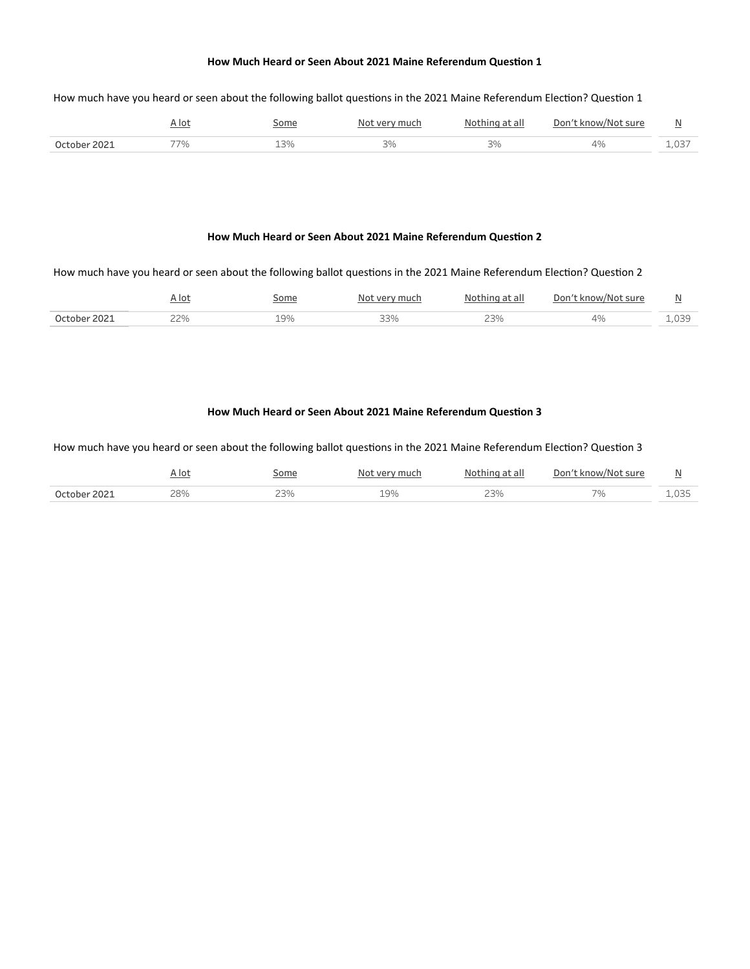## How much have you heard or seen about the following ballot questions in the 2021 Maine Referendum Election? Question 1

|              | <u>r lot</u> | iome        | very much<br>NI∩+ | Nothing at all | Don't know/Not sure | --   |
|--------------|--------------|-------------|-------------------|----------------|---------------------|------|
| October 2021 | 77%          | 13%<br>$ -$ | 3%                | $\sim$ $\sim$  |                     | ⊥,∪⊃ |

#### How Much Heard or Seen About 2021 Maine Referendum Question 2

## How much have you heard or seen about the following ballot questions in the 2021 Maine Referendum Election? Question 2

|                 | $\cdot$ Io <sup>+</sup> | ome                  | 1110 <sup>2</sup>     | ∖t all                   | Don<br>sure | ÷.                            |
|-----------------|-------------------------|----------------------|-----------------------|--------------------------|-------------|-------------------------------|
| 202<br>∩rtohar∶ | つつのん<br><u>.</u>        | 19%<br>$\sim$ $\sim$ | $\cap \cap$<br>$   -$ | $\overline{\phantom{m}}$ |             | $\sim$ $\sim$ $\sim$<br>ر ب ب |

#### How Much Heard or Seen About 2021 Maine Referendum Question 3

How much have you heard or seen about the following ballot questions in the 2021 Maine Referendum Election? Question 3

|              | <u>A lot</u> | <u>Some</u> | Not very much | Nothing at all | Don't know/Not sure | ∸     |
|--------------|--------------|-------------|---------------|----------------|---------------------|-------|
| October 2021 | 28%          | 23%         | 19%           | ، ب            | --                  | 1,U35 |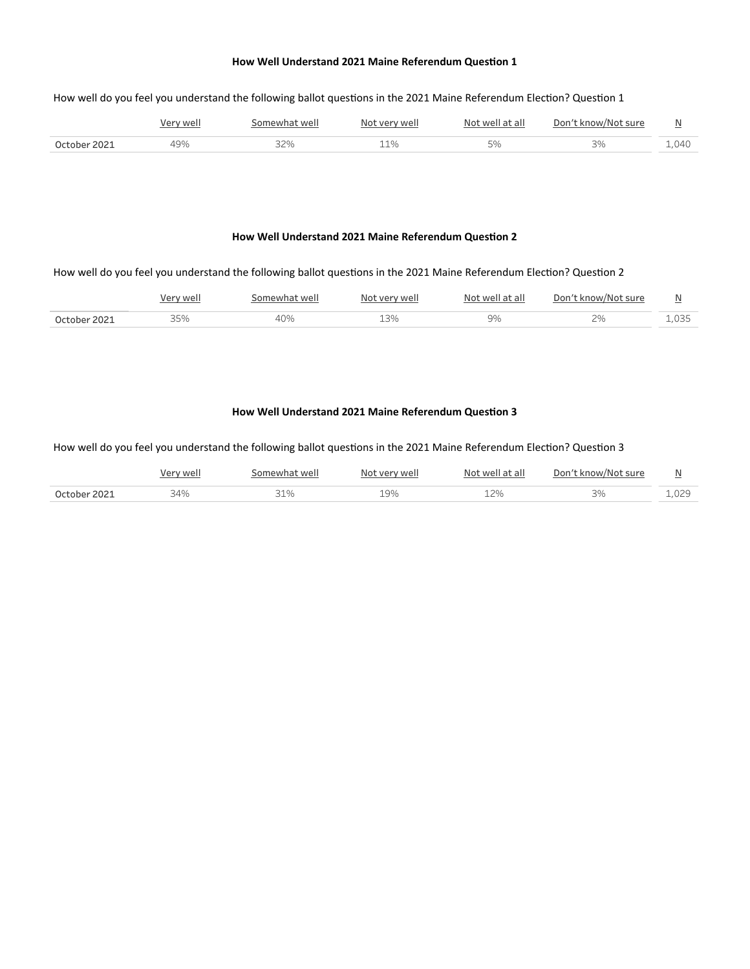## How well do you feel you understand the following ballot questions in the 2021 Maine Referendum Election? Question 1

|              | Verv well | Somewhat well | Not very well | Not well at all | Don't know/Not sure |       |
|--------------|-----------|---------------|---------------|-----------------|---------------------|-------|
| October 2021 | 19%       | 32%           | 11%           |                 |                     | 1.040 |

#### How Well Understand 2021 Maine Referendum Question 2

## How well do you feel you understand the following ballot questions in the 2021 Maine Referendum Election? Question 2

|              | well | somewhat well | Not very well | Not well at all | Don't know/Not sure | $\overline{17}$ |
|--------------|------|---------------|---------------|-----------------|---------------------|-----------------|
| October 2021 | 35%  |               |               | ,סב             | n c                 | ⊥,035           |

# How Well Understand 2021 Maine Referendum Question 3

How well do you feel you understand the following ballot questions in the 2021 Maine Referendum Election? Question 3

|              | Verv wel    | somewhat well | , wel<br>11041 | Not well at all | Don't know/Not sure | N<br>∸     |
|--------------|-------------|---------------|----------------|-----------------|---------------------|------------|
| October 2021 | 34%<br>. 70 | 21 O.         | $\Omega$       | ີລດ∠            | 20/                 | ነጋር<br>∸~~ |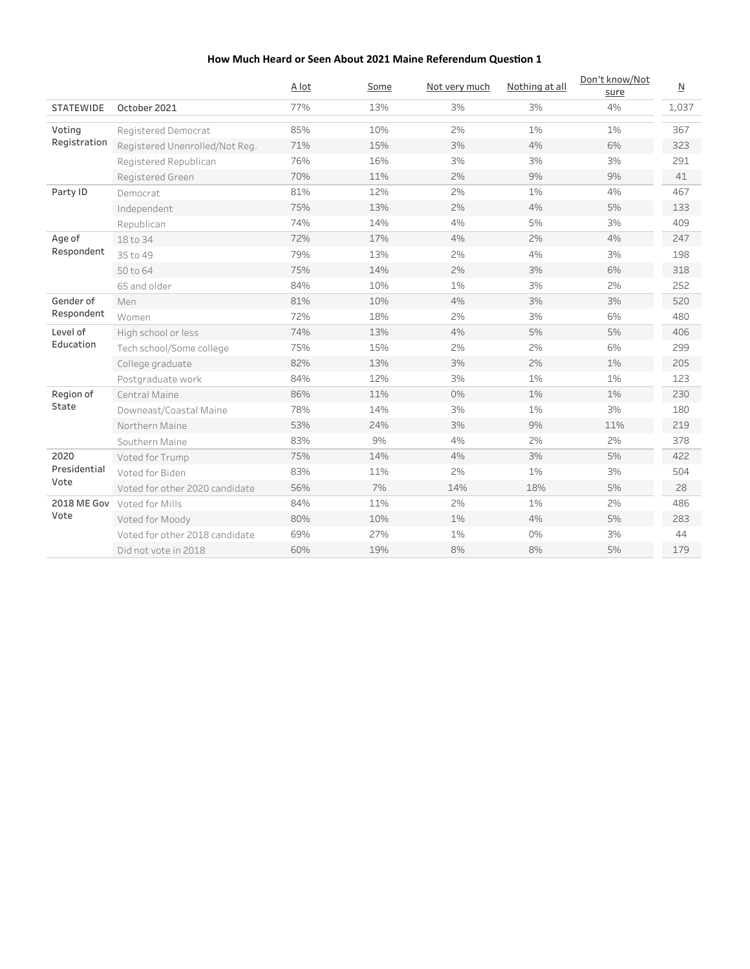|                    |                                | A lot | Some | Not very much | Nothing at all | Don't know/Not<br>sure | $\underline{\mathsf{N}}$ |
|--------------------|--------------------------------|-------|------|---------------|----------------|------------------------|--------------------------|
| <b>STATEWIDE</b>   | October 2021                   | 77%   | 13%  | 3%            | 3%             | 4%                     | 1,037                    |
| Voting             | Registered Democrat            | 85%   | 10%  | 2%            | 1%             | 1%                     | 367                      |
| Registration       | Registered Unenrolled/Not Reg. | 71%   | 15%  | 3%            | 4%             | 6%                     | 323                      |
|                    | Registered Republican          | 76%   | 16%  | 3%            | 3%             | 3%                     | 291                      |
|                    | Registered Green               | 70%   | 11%  | 2%            | 9%             | 9%                     | 41                       |
| Party ID           | Democrat                       | 81%   | 12%  | 2%            | 1%             | 4%                     | 467                      |
|                    | Independent                    | 75%   | 13%  | 2%            | 4%             | 5%                     | 133                      |
|                    | Republican                     | 74%   | 14%  | 4%            | 5%             | 3%                     | 409                      |
| Age of             | 18 to 34                       | 72%   | 17%  | 4%            | 2%             | 4%                     | 247                      |
| Respondent         | 35 to 49                       | 79%   | 13%  | 2%            | 4%             | 3%                     | 198                      |
|                    | 50 to 64                       | 75%   | 14%  | 2%            | 3%             | 6%                     | 318                      |
|                    | 65 and older                   | 84%   | 10%  | 1%            | 3%             | 2%                     | 252                      |
| Gender of          | Men                            | 81%   | 10%  | 4%            | 3%             | 3%                     | 520                      |
| Respondent         | Women                          | 72%   | 18%  | 2%            | 3%             | 6%                     | 480                      |
| Level of           | High school or less            | 74%   | 13%  | 4%            | 5%             | 5%                     | 406                      |
| Education          | Tech school/Some college       | 75%   | 15%  | 2%            | 2%             | 6%                     | 299                      |
|                    | College graduate               | 82%   | 13%  | 3%            | 2%             | 1%                     | 205                      |
|                    | Postgraduate work              | 84%   | 12%  | 3%            | 1%             | 1%                     | 123                      |
| Region of          | Central Maine                  | 86%   | 11%  | 0%            | 1%             | 1%                     | 230                      |
| State              | Downeast/Coastal Maine         | 78%   | 14%  | 3%            | 1%             | 3%                     | 180                      |
|                    | Northern Maine                 | 53%   | 24%  | 3%            | 9%             | 11%                    | 219                      |
|                    | Southern Maine                 | 83%   | 9%   | 4%            | 2%             | 2%                     | 378                      |
| 2020               | Voted for Trump                | 75%   | 14%  | 4%            | 3%             | 5%                     | 422                      |
| Presidential       | Voted for Biden                | 83%   | 11%  | 2%            | 1%             | 3%                     | 504                      |
| Vote               | Voted for other 2020 candidate | 56%   | 7%   | 14%           | 18%            | 5%                     | 28                       |
| <b>2018 ME Gov</b> | Voted for Mills                | 84%   | 11%  | 2%            | 1%             | 2%                     | 486                      |
| Vote               | Voted for Moody                | 80%   | 10%  | 1%            | 4%             | 5%                     | 283                      |
|                    | Voted for other 2018 candidate | 69%   | 27%  | 1%            | 0%             | 3%                     | 44                       |
|                    | Did not vote in 2018           | 60%   | 19%  | 8%            | 8%             | 5%                     | 179                      |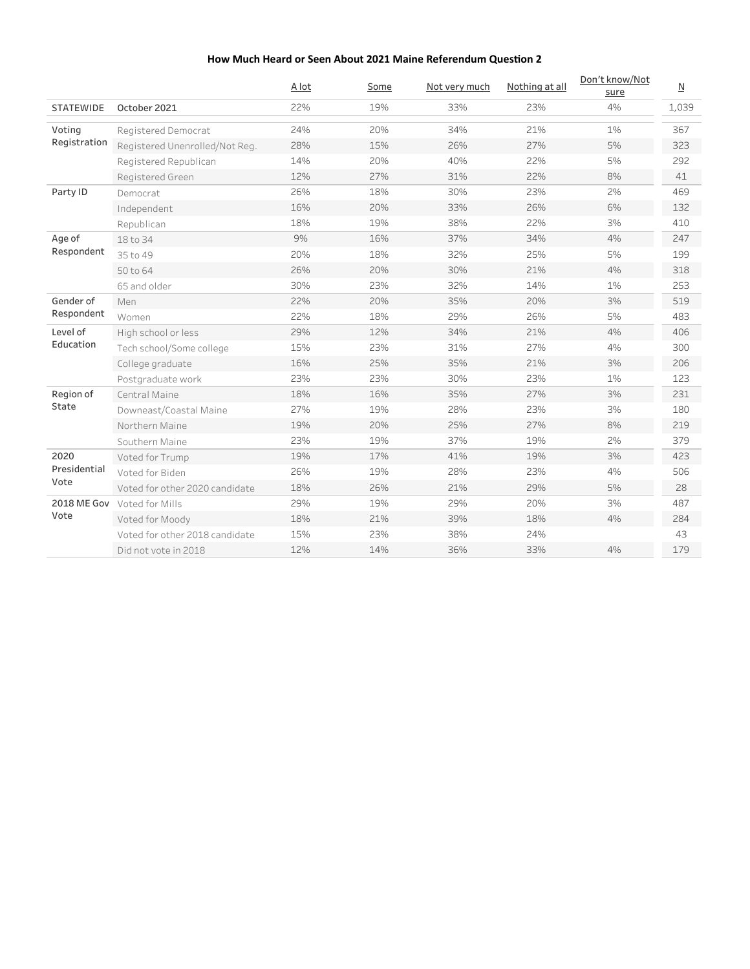|                         |                                | A lot | Some | Not very much | Nothing at all | Don't know/Not<br>sure | $\underline{\mathsf{N}}$ |
|-------------------------|--------------------------------|-------|------|---------------|----------------|------------------------|--------------------------|
| <b>STATEWIDE</b>        | October 2021                   | 22%   | 19%  | 33%           | 23%            | 4%                     | 1,039                    |
| Voting                  | Registered Democrat            | 24%   | 20%  | 34%           | 21%            | 1%                     | 367                      |
| Registration            | Registered Unenrolled/Not Reg. | 28%   | 15%  | 26%           | 27%            | 5%                     | 323                      |
|                         | Registered Republican          | 14%   | 20%  | 40%           | 22%            | 5%                     | 292                      |
|                         | Registered Green               | 12%   | 27%  | 31%           | 22%            | 8%                     | 41                       |
| Party ID                | Democrat                       | 26%   | 18%  | 30%           | 23%            | 2%                     | 469                      |
|                         | Independent                    | 16%   | 20%  | 33%           | 26%            | 6%                     | 132                      |
|                         | Republican                     | 18%   | 19%  | 38%           | 22%            | 3%                     | 410                      |
| Age of                  | 18 to 34                       | 9%    | 16%  | 37%           | 34%            | 4%                     | 247                      |
| Respondent              | 35 to 49                       | 20%   | 18%  | 32%           | 25%            | 5%                     | 199                      |
|                         | 50 to 64                       | 26%   | 20%  | 30%           | 21%            | 4%                     | 318                      |
|                         | 65 and older                   | 30%   | 23%  | 32%           | 14%            | 1%                     | 253                      |
| Gender of<br>Respondent | Men                            | 22%   | 20%  | 35%           | 20%            | 3%                     | 519                      |
|                         | Women                          | 22%   | 18%  | 29%           | 26%            | 5%                     | 483                      |
| Level of                | High school or less            | 29%   | 12%  | 34%           | 21%            | 4%                     | 406                      |
| Education               | Tech school/Some college       | 15%   | 23%  | 31%           | 27%            | 4%                     | 300                      |
|                         | College graduate               | 16%   | 25%  | 35%           | 21%            | 3%                     | 206                      |
|                         | Postgraduate work              | 23%   | 23%  | 30%           | 23%            | 1%                     | 123                      |
| Region of               | Central Maine                  | 18%   | 16%  | 35%           | 27%            | 3%                     | 231                      |
| State                   | Downeast/Coastal Maine         | 27%   | 19%  | 28%           | 23%            | 3%                     | 180                      |
|                         | Northern Maine                 | 19%   | 20%  | 25%           | 27%            | 8%                     | 219                      |
|                         | Southern Maine                 | 23%   | 19%  | 37%           | 19%            | 2%                     | 379                      |
| 2020                    | Voted for Trump                | 19%   | 17%  | 41%           | 19%            | 3%                     | 423                      |
| Presidential            | Voted for Biden                | 26%   | 19%  | 28%           | 23%            | 4%                     | 506                      |
| Vote                    | Voted for other 2020 candidate | 18%   | 26%  | 21%           | 29%            | 5%                     | 28                       |
| <b>2018 ME Gov</b>      | Voted for Mills                | 29%   | 19%  | 29%           | 20%            | 3%                     | 487                      |
| Vote                    | Voted for Moody                | 18%   | 21%  | 39%           | 18%            | 4%                     | 284                      |
|                         | Voted for other 2018 candidate | 15%   | 23%  | 38%           | 24%            |                        | 43                       |
|                         | Did not vote in 2018           | 12%   | 14%  | 36%           | 33%            | 4%                     | 179                      |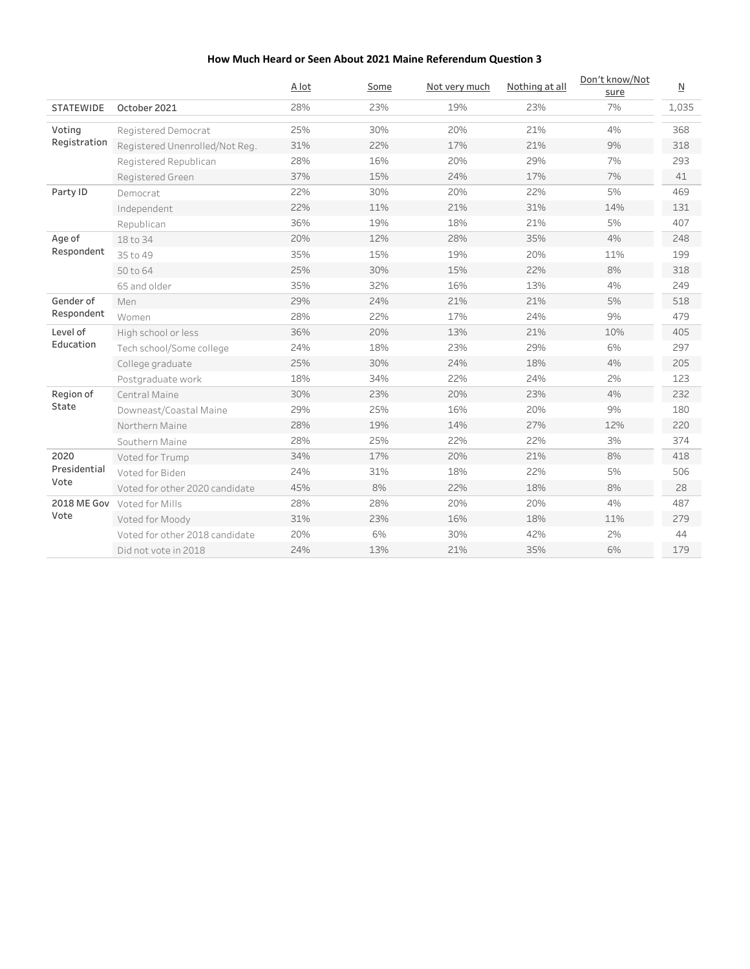|                         |                                | A lot | Some | Not very much | Nothing at all | Don't know/Not<br>sure | $\underline{\mathsf{N}}$ |
|-------------------------|--------------------------------|-------|------|---------------|----------------|------------------------|--------------------------|
| <b>STATEWIDE</b>        | October 2021                   | 28%   | 23%  | 19%           | 23%            | 7%                     | 1,035                    |
| Votina                  | Registered Democrat            | 25%   | 30%  | 20%           | 21%            | 4%                     | 368                      |
| Registration            | Registered Unenrolled/Not Reg. | 31%   | 22%  | 17%           | 21%            | 9%                     | 318                      |
|                         | Registered Republican          | 28%   | 16%  | 20%           | 29%            | 7%                     | 293                      |
|                         | Registered Green               | 37%   | 15%  | 24%           | 17%            | 7%                     | 41                       |
| Party ID                | Democrat                       | 22%   | 30%  | 20%           | 22%            | 5%                     | 469                      |
|                         | Independent                    | 22%   | 11%  | 21%           | 31%            | 14%                    | 131                      |
|                         | Republican                     | 36%   | 19%  | 18%           | 21%            | 5%                     | 407                      |
| Age of                  | 18 to 34                       | 20%   | 12%  | 28%           | 35%            | 4%                     | 248                      |
| Respondent              | 35 to 49                       | 35%   | 15%  | 19%           | 20%            | 11%                    | 199                      |
|                         | 50 to 64                       | 25%   | 30%  | 15%           | 22%            | 8%                     | 318                      |
|                         | 65 and older                   | 35%   | 32%  | 16%           | 13%            | 4%                     | 249                      |
| Gender of<br>Respondent | Men                            | 29%   | 24%  | 21%           | 21%            | 5%                     | 518                      |
|                         | Women                          | 28%   | 22%  | 17%           | 24%            | 9%                     | 479                      |
| Level of                | High school or less            | 36%   | 20%  | 13%           | 21%            | 10%                    | 405                      |
| Education               | Tech school/Some college       | 24%   | 18%  | 23%           | 29%            | 6%                     | 297                      |
|                         | College graduate               | 25%   | 30%  | 24%           | 18%            | 4%                     | 205                      |
|                         | Postgraduate work              | 18%   | 34%  | 22%           | 24%            | 2%                     | 123                      |
| Region of               | Central Maine                  | 30%   | 23%  | 20%           | 23%            | 4%                     | 232                      |
| State                   | Downeast/Coastal Maine         | 29%   | 25%  | 16%           | 20%            | 9%                     | 180                      |
|                         | Northern Maine                 | 28%   | 19%  | 14%           | 27%            | 12%                    | 220                      |
|                         | Southern Maine                 | 28%   | 25%  | 22%           | 22%            | 3%                     | 374                      |
| 2020                    | Voted for Trump                | 34%   | 17%  | 20%           | 21%            | 8%                     | 418                      |
| Presidential            | Voted for Biden                | 24%   | 31%  | 18%           | 22%            | 5%                     | 506                      |
| Vote                    | Voted for other 2020 candidate | 45%   | 8%   | 22%           | 18%            | 8%                     | 28                       |
| <b>2018 ME Gov</b>      | Voted for Mills                | 28%   | 28%  | 20%           | 20%            | 4%                     | 487                      |
| Vote                    | Voted for Moody                | 31%   | 23%  | 16%           | 18%            | 11%                    | 279                      |
|                         | Voted for other 2018 candidate | 20%   | 6%   | 30%           | 42%            | 2%                     | 44                       |
|                         | Did not vote in 2018           | 24%   | 13%  | 21%           | 35%            | 6%                     | 179                      |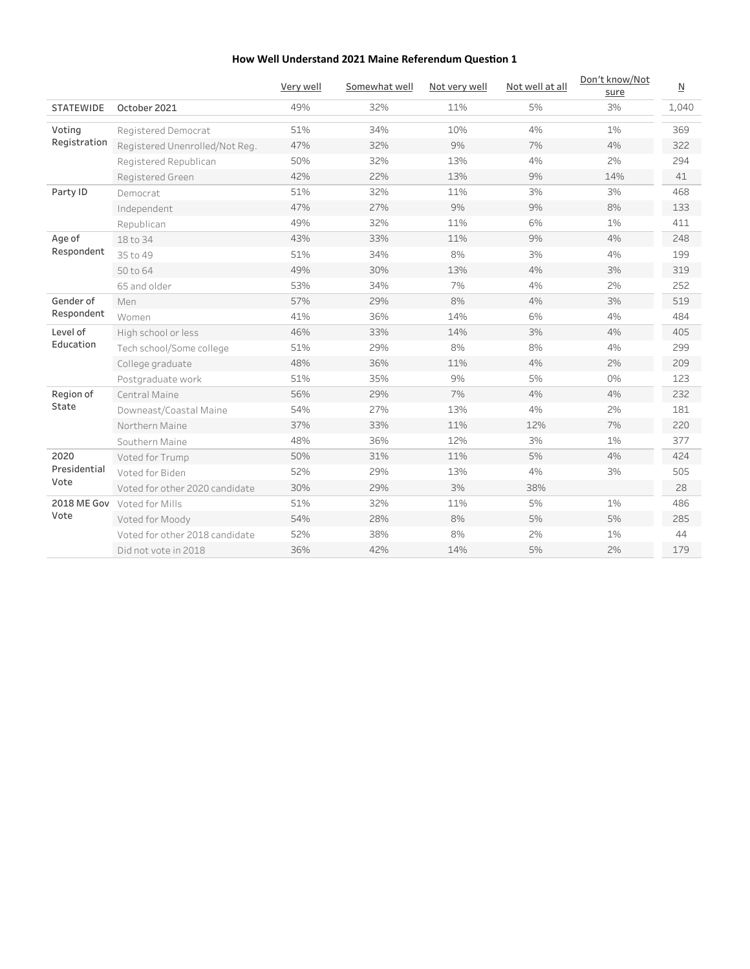|                         |                                | Very well | Somewhat well | Not very well | Not well at all | Don't know/Not<br>sure | $\overline{\mathsf{M}}$ |
|-------------------------|--------------------------------|-----------|---------------|---------------|-----------------|------------------------|-------------------------|
| <b>STATEWIDE</b>        | October 2021                   | 49%       | 32%           | 11%           | 5%              | 3%                     | 1,040                   |
| Voting                  | Registered Democrat            | 51%       | 34%           | 10%           | 4%              | $1\%$                  | 369                     |
| Registration            | Registered Unenrolled/Not Reg. | 47%       | 32%           | 9%            | 7%              | 4%                     | 322                     |
|                         | Registered Republican          | 50%       | 32%           | 13%           | 4%              | 2%                     | 294                     |
|                         | Registered Green               | 42%       | 22%           | 13%           | 9%              | 14%                    | 41                      |
| Party ID                | Democrat                       | 51%       | 32%           | 11%           | 3%              | 3%                     | 468                     |
|                         | Independent                    | 47%       | 27%           | 9%            | 9%              | 8%                     | 133                     |
|                         | Republican                     | 49%       | 32%           | 11%           | 6%              | 1%                     | 411                     |
| Age of                  | 18 to 34                       | 43%       | 33%           | 11%           | 9%              | 4%                     | 248                     |
| Respondent              | 35 to 49                       | 51%       | 34%           | 8%            | 3%              | 4%                     | 199                     |
|                         | 50 to 64                       | 49%       | 30%           | 13%           | 4%              | 3%                     | 319                     |
|                         | 65 and older                   | 53%       | 34%           | 7%            | 4%              | 2%                     | 252                     |
| Gender of<br>Respondent | Men                            | 57%       | 29%           | 8%            | 4%              | 3%                     | 519                     |
|                         | Women                          | 41%       | 36%           | 14%           | 6%              | 4%                     | 484                     |
| Level of                | High school or less            | 46%       | 33%           | 14%           | 3%              | 4%                     | 405                     |
| Education               | Tech school/Some college       | 51%       | 29%           | 8%            | 8%              | 4%                     | 299                     |
|                         | College graduate               | 48%       | 36%           | 11%           | 4%              | 2%                     | 209                     |
|                         | Postgraduate work              | 51%       | 35%           | 9%            | 5%              | 0%                     | 123                     |
| Region of               | Central Maine                  | 56%       | 29%           | 7%            | 4%              | 4%                     | 232                     |
| State                   | Downeast/Coastal Maine         | 54%       | 27%           | 13%           | 4%              | 2%                     | 181                     |
|                         | Northern Maine                 | 37%       | 33%           | 11%           | 12%             | 7%                     | 220                     |
|                         | Southern Maine                 | 48%       | 36%           | 12%           | 3%              | 1%                     | 377                     |
| 2020                    | Voted for Trump                | 50%       | 31%           | 11%           | 5%              | 4%                     | 424                     |
| Presidential            | Voted for Biden                | 52%       | 29%           | 13%           | 4%              | 3%                     | 505                     |
| Vote                    | Voted for other 2020 candidate | 30%       | 29%           | 3%            | 38%             |                        | 28                      |
| <b>2018 ME Gov</b>      | Voted for Mills                | 51%       | 32%           | 11%           | 5%              | 1%                     | 486                     |
| Vote                    | Voted for Moody                | 54%       | 28%           | 8%            | 5%              | 5%                     | 285                     |
|                         | Voted for other 2018 candidate | 52%       | 38%           | 8%            | 2%              | 1%                     | 44                      |
|                         | Did not vote in 2018           | 36%       | 42%           | 14%           | 5%              | 2%                     | 179                     |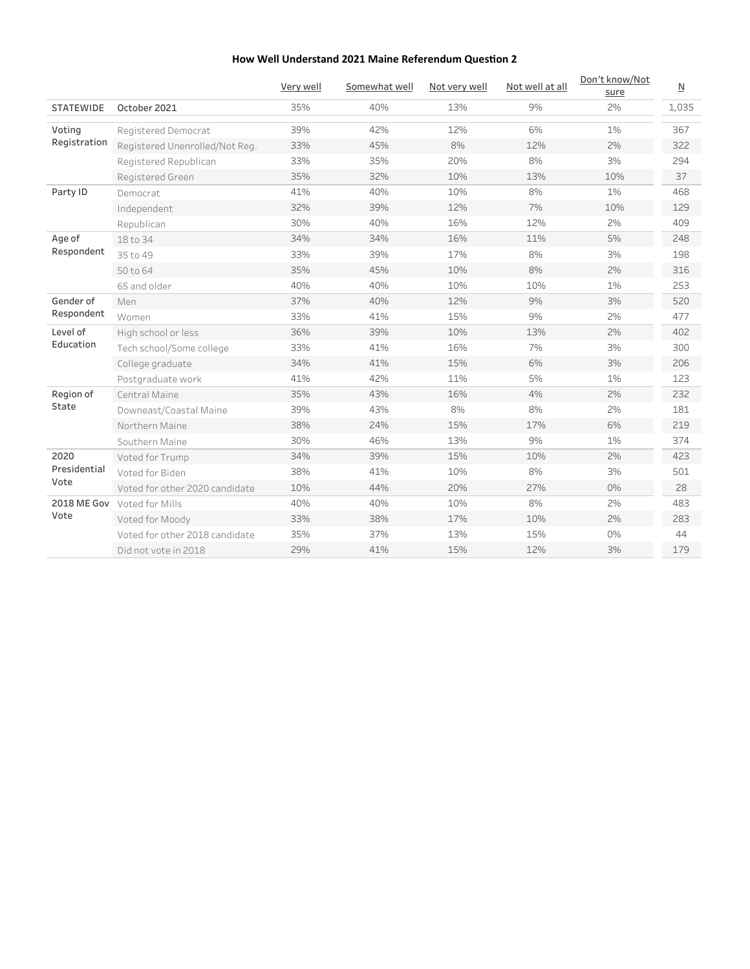|                    |                                | Very well | Somewhat well | Not very well | Not well at all | Don't know/Not<br>sure | $\underline{\mathsf{N}}$ |
|--------------------|--------------------------------|-----------|---------------|---------------|-----------------|------------------------|--------------------------|
| <b>STATEWIDE</b>   | October 2021                   | 35%       | 40%           | 13%           | 9%              | 2%                     | 1,035                    |
| Voting             | Registered Democrat            | 39%       | 42%           | 12%           | 6%              | 1%                     | 367                      |
| Registration       | Registered Unenrolled/Not Reg. | 33%       | 45%           | 8%            | 12%             | 2%                     | 322                      |
|                    | Registered Republican          | 33%       | 35%           | 20%           | 8%              | 3%                     | 294                      |
|                    | Registered Green               | 35%       | 32%           | 10%           | 13%             | 10%                    | 37                       |
| Party ID           | Democrat                       | 41%       | 40%           | 10%           | 8%              | 1%                     | 468                      |
|                    | Independent                    | 32%       | 39%           | 12%           | 7%              | 10%                    | 129                      |
|                    | Republican                     | 30%       | 40%           | 16%           | 12%             | 2%                     | 409                      |
| Age of             | 18 to 34                       | 34%       | 34%           | 16%           | 11%             | 5%                     | 248                      |
| Respondent         | 35 to 49                       | 33%       | 39%           | 17%           | 8%              | 3%                     | 198                      |
|                    | 50 to 64                       | 35%       | 45%           | 10%           | 8%              | 2%                     | 316                      |
|                    | 65 and older                   | 40%       | 40%           | 10%           | 10%             | 1%                     | 253                      |
| Gender of          | Men                            | 37%       | 40%           | 12%           | 9%              | 3%                     | 520                      |
| Respondent         | Women                          | 33%       | 41%           | 15%           | 9%              | 2%                     | 477                      |
| Level of           | High school or less            | 36%       | 39%           | 10%           | 13%             | 2%                     | 402                      |
| Education          | Tech school/Some college       | 33%       | 41%           | 16%           | 7%              | 3%                     | 300                      |
|                    | College graduate               | 34%       | 41%           | 15%           | 6%              | 3%                     | 206                      |
|                    | Postgraduate work              | 41%       | 42%           | 11%           | 5%              | $1\%$                  | 123                      |
| Region of          | Central Maine                  | 35%       | 43%           | 16%           | 4%              | 2%                     | 232                      |
| State              | Downeast/Coastal Maine         | 39%       | 43%           | 8%            | 8%              | 2%                     | 181                      |
|                    | Northern Maine                 | 38%       | 24%           | 15%           | 17%             | 6%                     | 219                      |
|                    | Southern Maine                 | 30%       | 46%           | 13%           | 9%              | 1%                     | 374                      |
| 2020               | Voted for Trump                | 34%       | 39%           | 15%           | 10%             | 2%                     | 423                      |
| Presidential       | Voted for Biden                | 38%       | 41%           | 10%           | 8%              | 3%                     | 501                      |
| Vote               | Voted for other 2020 candidate | 10%       | 44%           | 20%           | 27%             | 0%                     | 28                       |
| <b>2018 ME Gov</b> | Voted for Mills                | 40%       | 40%           | 10%           | 8%              | 2%                     | 483                      |
| Vote               | Voted for Moody                | 33%       | 38%           | 17%           | 10%             | 2%                     | 283                      |
|                    | Voted for other 2018 candidate | 35%       | 37%           | 13%           | 15%             | 0%                     | 44                       |
|                    | Did not vote in 2018           | 29%       | 41%           | 15%           | 12%             | 3%                     | 179                      |